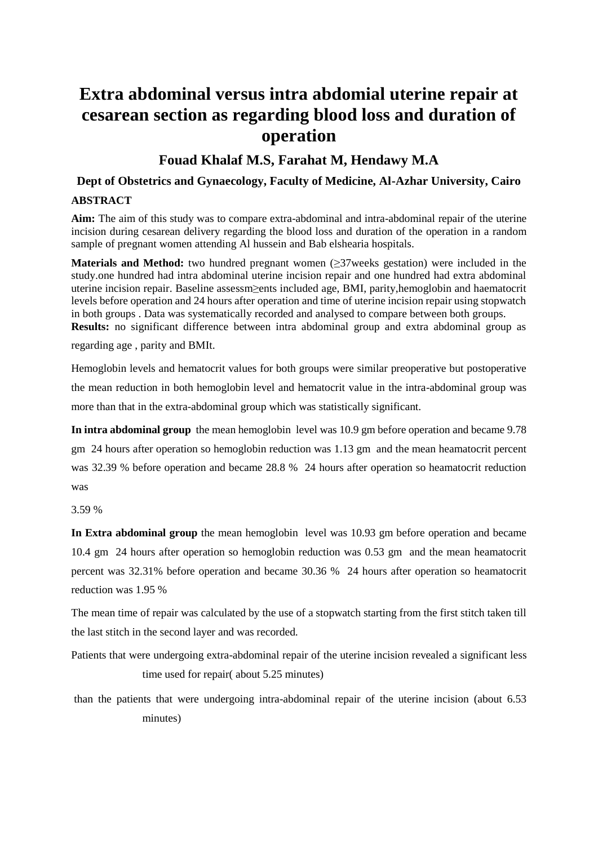# **Extra abdominal versus intra abdomial uterine repair at cesarean section as regarding blood loss and duration of operation**

### **Fouad Khalaf M.S, Farahat M, Hendawy M.A**

### **Dept of Obstetrics and Gynaecology, Faculty of Medicine, Al-Azhar University, Cairo**

#### **ABSTRACT**

**Aim:** The aim of this study was to compare extra-abdominal and intra-abdominal repair of the uterine incision during cesarean delivery regarding the blood loss and duration of the operation in a random sample of pregnant women attending Al hussein and Bab elshearia hospitals.

**Materials and Method:** two hundred pregnant women (≥37weeks gestation) were included in the study.one hundred had intra abdominal uterine incision repair and one hundred had extra abdominal uterine incision repair. Baseline assessm≥ents included age, BMI, parity,hemoglobin and haematocrit levels before operation and 24 hours after operation and time of uterine incision repair using stopwatch in both groups . Data was systematically recorded and analysed to compare between both groups. **Results:** no significant difference between intra abdominal group and extra abdominal group as

regarding age , parity and BMIt.

Hemoglobin levels and hematocrit values for both groups were similar preoperative but postoperative the mean reduction in both hemoglobin level and hematocrit value in the intra-abdominal group was more than that in the extra-abdominal group which was statistically significant.

**In intra abdominal group** the mean hemoglobin level was 10.9 gm before operation and became 9.78 gm 24 hours after operation so hemoglobin reduction was 1.13 gm and the mean heamatocrit percent was 32.39 % before operation and became 28.8 % 24 hours after operation so heamatocrit reduction was

3.59 %

**In Extra abdominal group** the mean hemoglobin level was 10.93 gm before operation and became 10.4 gm 24 hours after operation so hemoglobin reduction was 0.53 gm and the mean heamatocrit percent was 32.31% before operation and became 30.36 % 24 hours after operation so heamatocrit reduction was 1.95 %

The mean time of repair was calculated by the use of a stopwatch starting from the first stitch taken till the last stitch in the second layer and was recorded.

Patients that were undergoing extra-abdominal repair of the uterine incision revealed a significant less time used for repair( about 5.25 minutes)

than the patients that were undergoing intra-abdominal repair of the uterine incision (about 6.53 minutes)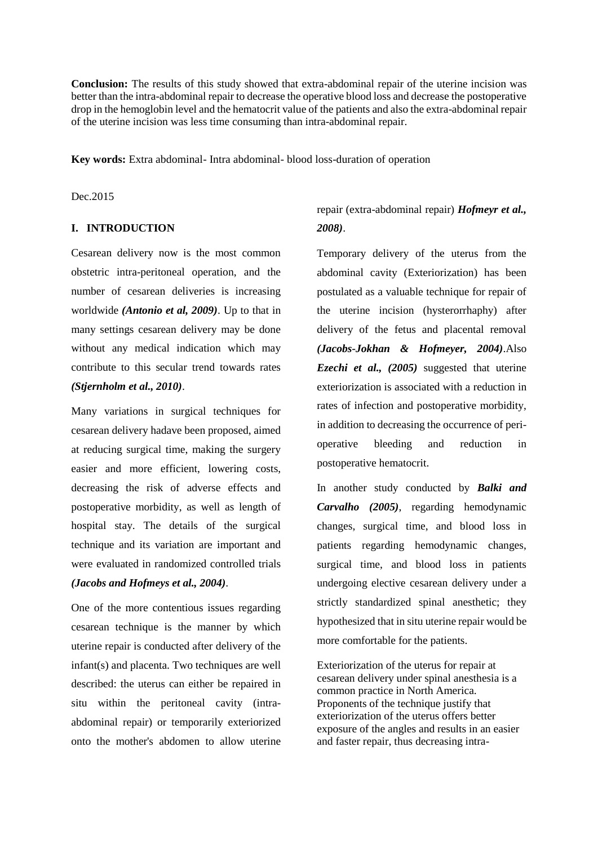**Conclusion:** The results of this study showed that extra-abdominal repair of the uterine incision was better than the intra-abdominal repair to decrease the operative blood loss and decrease the postoperative drop in the hemoglobin level and the hematocrit value of the patients and also the extra-abdominal repair of the uterine incision was less time consuming than intra-abdominal repair.

**Key words:** Extra abdominal- Intra abdominal- blood loss-duration of operation

Dec.2015

#### **I. INTRODUCTION**

Cesarean delivery now is the most common obstetric intra-peritoneal operation, and the number of cesarean deliveries is increasing worldwide *(Antonio et al, 2009)*. Up to that in many settings cesarean delivery may be done without any medical indication which may contribute to this secular trend towards rates *(Stjernholm et al., 2010)*.

Many variations in surgical techniques for cesarean delivery hadave been proposed, aimed at reducing surgical time, making the surgery easier and more efficient, lowering costs, decreasing the risk of adverse effects and postoperative morbidity, as well as length of hospital stay. The details of the surgical technique and its variation are important and were evaluated in randomized controlled trials *(Jacobs and Hofmeys et al., 2004)*.

One of the more contentious issues regarding cesarean technique is the manner by which uterine repair is conducted after delivery of the infant(s) and placenta. Two techniques are well described: the uterus can either be repaired in situ within the peritoneal cavity (intraabdominal repair) or temporarily exteriorized onto the mother's abdomen to allow uterine

### repair (extra-abdominal repair) *Hofmeyr et al., 2008)*.

Temporary delivery of the uterus from the abdominal cavity (Exteriorization) has been postulated as a valuable technique for repair of the uterine incision (hysterorrhaphy) after delivery of the fetus and placental removal *(Jacobs-Jokhan & Hofmeyer, 2004)*.Also *Ezechi et al., (2005)* suggested that uterine exteriorization is associated with a reduction in rates of infection and postoperative morbidity, in addition to decreasing the occurrence of perioperative bleeding and reduction in postoperative hematocrit.

In another study conducted by *Balki and Carvalho (2005)*, regarding hemodynamic changes, surgical time, and blood loss in patients regarding hemodynamic changes, surgical time, and blood loss in patients undergoing elective cesarean delivery under a strictly standardized spinal anesthetic; they hypothesized that in situ uterine repair would be more comfortable for the patients.

Exteriorization of the uterus for repair at cesarean delivery under spinal anesthesia is a common practice in North America. Proponents of the technique justify that exteriorization of the uterus offers better exposure of the angles and results in an easier and faster repair, thus decreasing intra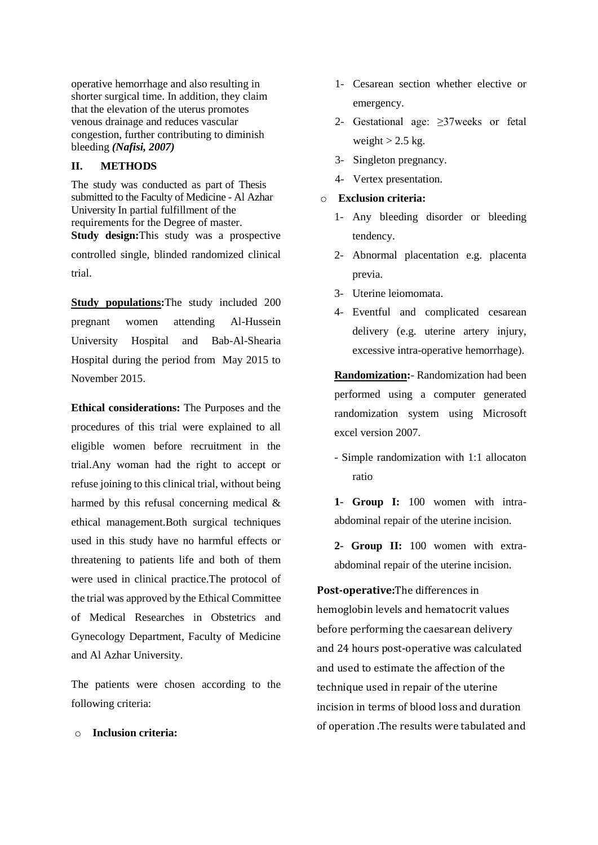operative hemorrhage and also resulting in shorter surgical time. In addition, they claim that the elevation of the uterus promotes venous drainage and reduces vascular congestion, further contributing to diminish bleeding *(Nafisi, 2007)*

#### **II. METHODS**

The study was conducted as part of Thesis submitted to the Faculty of Medicine - Al Azhar University In partial fulfillment of the requirements for the Degree of master. **Study design:**This study was a prospective controlled single, blinded randomized clinical trial.

**Study populations:**The study included 200 pregnant women attending Al-Hussein University Hospital and Bab-Al-Shearia Hospital during the period from May 2015 to November 2015.

**Ethical considerations:** The Purposes and the procedures of this trial were explained to all eligible women before recruitment in the trial.Any woman had the right to accept or refuse joining to this clinical trial, without being harmed by this refusal concerning medical & ethical management.Both surgical techniques used in this study have no harmful effects or threatening to patients life and both of them were used in clinical practice.The protocol of the trial was approved by the Ethical Committee of Medical Researches in Obstetrics and Gynecology Department, Faculty of Medicine and Al Azhar University.

The patients were chosen according to the following criteria:

#### o **Inclusion criteria:**

- 1- Cesarean section whether elective or emergency.
- 2- Gestational age: ≥37weeks or fetal weight  $> 2.5$  kg.
- 3- Singleton pregnancy.
- 4- Vertex presentation.

#### o **Exclusion criteria:**

- 1- Any bleeding disorder or bleeding tendency.
- 2- Abnormal placentation e.g. placenta previa.
- 3- Uterine leiomomata.
- 4- Eventful and complicated cesarean delivery (e.g. uterine artery injury, excessive intra-operative hemorrhage).

**Randomization:**- Randomization had been performed using a computer generated randomization system using Microsoft excel version 2007.

- Simple randomization with 1:1 allocaton ratio

**1- Group I:** 100 women with intraabdominal repair of the uterine incision.

**2- Group II:** 100 women with extraabdominal repair of the uterine incision.

**Post-operative:**The differences in hemoglobin levels and hematocrit values before performing the caesarean delivery and 24 hours post-operative was calculated and used to estimate the affection of the technique used in repair of the uterine incision in terms of blood loss and duration of operation .The results were tabulated and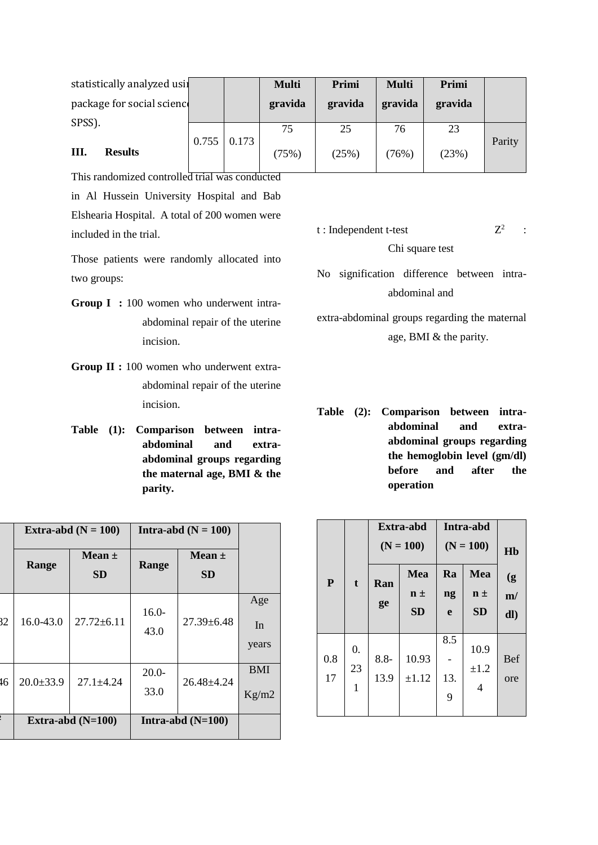| statistically analyzed usil |                    | <b>Multi</b> | Primi   | <b>Multi</b> | Primi   |        |
|-----------------------------|--------------------|--------------|---------|--------------|---------|--------|
| package for social scienc   |                    | gravida      | gravida | gravida      | gravida |        |
|                             |                    |              |         |              |         |        |
| SPSS).                      |                    | 75           | 25      | 76           | 23      |        |
| Ш.<br><b>Results</b>        | $0.755 \mid 0.173$ | (75%)        | (25%)   | (76%)        | (23%)   | Parity |

This randomized controlled trial was conducted in Al Hussein University Hospital and Bab Elshearia Hospital. A total of 200 women were included in the trial.

Those patients were randomly allocated into two groups:

- Group I : 100 women who underwent intraabdominal repair of the uterine incision.
- **Group II :** 100 women who underwent extraabdominal repair of the uterine incision.
- **Table (1): Comparison between intraabdominal and extraabdominal groups regarding the maternal age, BMI & the parity.**

|    |                 | Extra-abd $(N = 100)$   |                 | Intra-abd $(N = 100)$   |                     |
|----|-----------------|-------------------------|-----------------|-------------------------|---------------------|
|    | Range           | Mean $\pm$<br><b>SD</b> | Range           | Mean $\pm$<br><b>SD</b> |                     |
| 32 | 16.0-43.0       | $27.72 \pm 6.11$        | $16.0-$<br>43.0 | $27.39 \pm 6.48$        | Age<br>In<br>years  |
| 46 | $20.0 \pm 33.9$ | $27.1 \pm 4.24$         | $20.0-$<br>33.0 | $26.48 \pm 4.24$        | <b>BMI</b><br>Kg/m2 |
|    |                 | Extra-abd $(N=100)$     |                 | Intra-abd $(N=100)$     |                     |

#### t : Independent t-test  $Z^2$ : Chi square test

No signification difference between intraabdominal and

extra-abdominal groups regarding the maternal age, BMI & the parity.

**Table (2): Comparison between intraabdominal and extraabdominal groups regarding the hemoglobin level (gm/dl) before and after the operation**

|              |    |         | Extra-abd<br>$(N = 100)$ |     | Intra-abd<br>$(N = 100)$ | H <sub>b</sub> |
|--------------|----|---------|--------------------------|-----|--------------------------|----------------|
| $\mathbf{P}$ | t  | Ran     | Mea                      | Ra  | Mea                      | (g)            |
|              |    | ge      | $n \pm$                  | ng  | $n \pm$                  | m/             |
|              |    |         | <b>SD</b>                | e   | <b>SD</b>                | dl)            |
|              | 0. |         |                          | 8.5 | 10.9                     |                |
| 0.8          |    | $8.8 -$ | 10.93                    |     |                          | <b>Bef</b>     |
| 17           | 23 | 13.9    | $\pm 1.12$               | 13. | $\pm 1.2$                | ore            |
|              | 1  |         |                          | 9   | 4                        |                |
|              |    |         |                          |     |                          |                |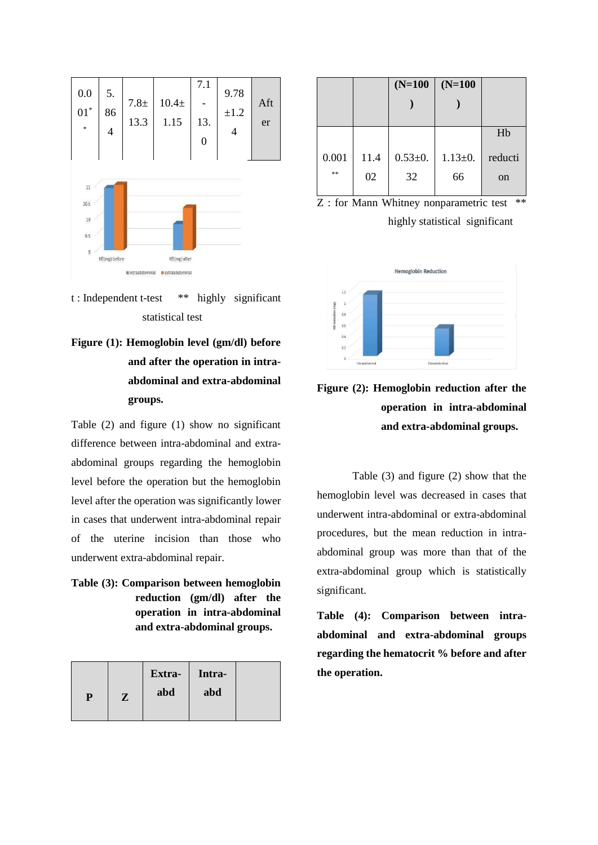

t : Independent t-test \*\* highly significant statistical test

**Figure (1): Hemoglobin level (gm/dl) before and after the operation in intraabdominal and extra-abdominal groups.**

Table (2) and figure (1) show no significant difference between intra-abdominal and extraabdominal groups regarding the hemoglobin level before the operation but the hemoglobin level after the operation was significantly lower in cases that underwent intra-abdominal repair of the uterine incision than those who underwent extra-abdominal repair.

**Table (3): Comparison between hemoglobin reduction (gm/dl) after the operation in intra-abdominal and extra-abdominal groups.**

|   |           | Extra- | Intra- |  |
|---|-----------|--------|--------|--|
| P | ${\bf z}$ | abd    | abd    |  |
|   |           |        |        |  |

|       |      | $(N=100)$     | $(N=100)$     |               |
|-------|------|---------------|---------------|---------------|
|       |      |               |               |               |
|       |      |               |               |               |
|       |      |               |               | Hb            |
|       |      |               |               |               |
| 0.001 | 11.4 | $0.53 \pm 0.$ | $1.13 \pm 0.$ | reducti       |
| **    | 02   | 32            | 66            | <sub>on</sub> |
|       |      |               |               |               |

Z : for Mann Whitney nonparametric test \*\* highly statistical significant





Table (3) and figure (2) show that the hemoglobin level was decreased in cases that underwent intra-abdominal or extra-abdominal procedures, but the mean reduction in intraabdominal group was more than that of the extra-abdominal group which is statistically significant.

**Table (4): Comparison between intraabdominal and extra-abdominal groups regarding the hematocrit % before and after the operation.**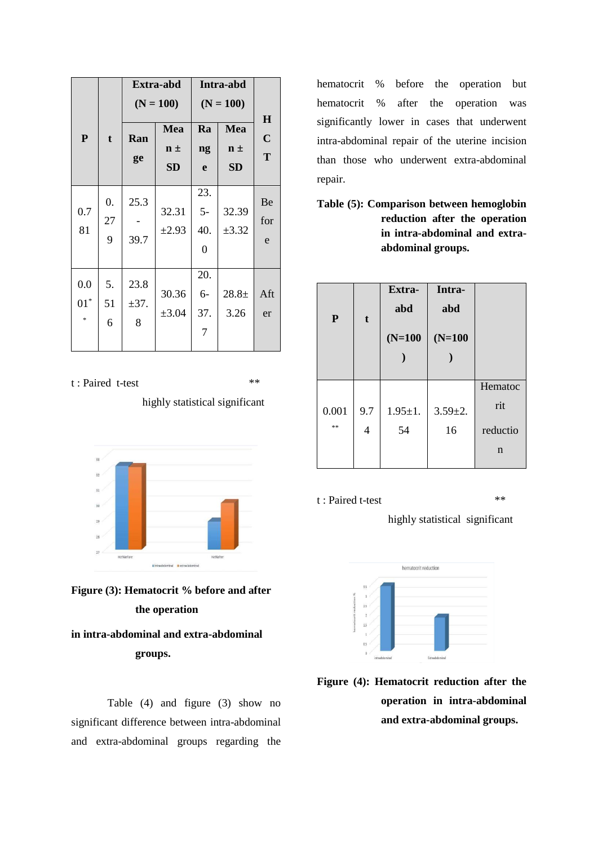|                         |               | Extra-abd              |                     | Intra-abd                            |                  |                        |  |
|-------------------------|---------------|------------------------|---------------------|--------------------------------------|------------------|------------------------|--|
|                         |               |                        | $(N = 100)$         |                                      | $(N = 100)$      |                        |  |
| ${\bf P}$               | t             | Ran                    | Mea                 | Ra                                   | Mea              | $\bf H$<br>$\mathbf C$ |  |
|                         |               |                        | $n \pm$             | ng                                   | $n \pm$          | T                      |  |
|                         |               | ge                     | <b>SD</b>           | e                                    | <b>SD</b>        |                        |  |
| 0.7<br>81               | 0.<br>27<br>9 | 25.3<br>39.7           | 32.31<br>$\pm 2.93$ | 23.<br>$5-$<br>40.<br>$\overline{0}$ | 32.39<br>±3.32   | Be<br>for<br>e         |  |
|                         |               |                        |                     |                                      |                  |                        |  |
| 0.0<br>$01^*$<br>$\ast$ | 5.<br>51<br>6 | 23.8<br>$\pm$ 37.<br>8 | 30.36<br>$\pm 3.04$ | 20.<br>$6-$<br>37.<br>7              | $28.8 +$<br>3.26 | Aft<br>er              |  |

t : Paired t-test \*\*

highly statistical significant





## **in intra-abdominal and extra-abdominal groups.**

Table (4) and figure (3) show no significant difference between intra-abdominal and extra-abdominal groups regarding the

hematocrit % before the operation but hematocrit % after the operation was significantly lower in cases that underwent intra-abdominal repair of the uterine incision than those who underwent extra-abdominal repair.

**Table (5): Comparison between hemoglobin reduction after the operation in intra-abdominal and extraabdominal groups.**

| P     | $\mathbf t$    | Extra-<br>abd<br>$(N=100)$ | Intra-<br>abd<br>$(N=100)$ |             |
|-------|----------------|----------------------------|----------------------------|-------------|
|       |                |                            |                            | Hematoc     |
| 0.001 | 9.7            | $1.95 \pm 1.$              | $3.59 \pm 2.$              | rit         |
| **    | $\overline{4}$ | 54                         | 16                         | reductio    |
|       |                |                            |                            | $\mathbf n$ |

#### t : Paired t-test  $**$

highly statistical significant



**Figure (4): Hematocrit reduction after the operation in intra-abdominal and extra-abdominal groups.**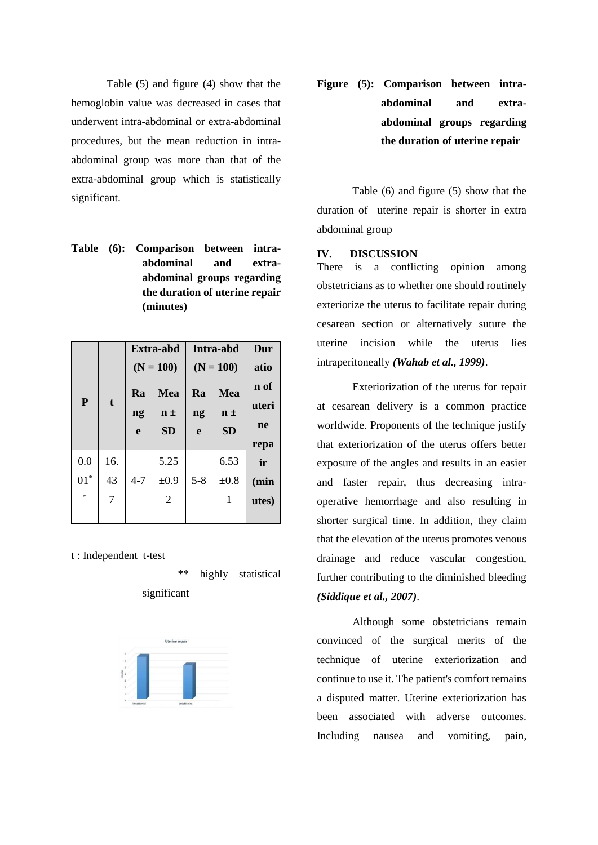Table (5) and figure (4) show that the hemoglobin value was decreased in cases that underwent intra-abdominal or extra-abdominal procedures, but the mean reduction in intraabdominal group was more than that of the extra-abdominal group which is statistically significant.

**Table (6): Comparison between intraabdominal and extraabdominal groups regarding the duration of uterine repair (minutes)**

| Dur   | Extra-abd<br>Intra-abd |         |                |         |             |              |
|-------|------------------------|---------|----------------|---------|-------------|--------------|
| atio  | $(N = 100)$            |         | $(N = 100)$    |         |             |              |
| n of  | Mea                    | Ra      | Mea            | Ra      |             |              |
| uteri | $n \pm$                | ng      | $n \pm$        | ng      | $\mathbf t$ | $\mathbf{P}$ |
| ne    | <b>SD</b>              | e       | <b>SD</b>      | e       |             |              |
| repa  |                        |         |                |         |             |              |
| ir    | 6.53                   |         | 5.25           |         | 16.         | 0.0          |
| (min  | $\pm 0.8$              | $5 - 8$ | $\pm 0.9$      | $4 - 7$ | 43          | $01^*$       |
| utes) | 1                      |         | $\overline{2}$ |         | 7           | $\ast$       |
|       |                        |         |                |         |             |              |

t : Independent t-test

\*\* highly statistical significant



**Figure (5): Comparison between intraabdominal and extraabdominal groups regarding the duration of uterine repair**

Table (6) and figure (5) show that the duration of uterine repair is shorter in extra abdominal group

#### **IV. DISCUSSION**

There is a conflicting opinion among obstetricians as to whether one should routinely exteriorize the uterus to facilitate repair during cesarean section or alternatively suture the uterine incision while the uterus lies intraperitoneally *(Wahab et al., 1999)*.

Exteriorization of the uterus for repair at cesarean delivery is a common practice worldwide. Proponents of the technique justify that exteriorization of the uterus offers better exposure of the angles and results in an easier and faster repair, thus decreasing intraoperative hemorrhage and also resulting in shorter surgical time. In addition, they claim that the elevation of the uterus promotes venous drainage and reduce vascular congestion, further contributing to the diminished bleeding *(Siddique et al., 2007)*.

Although some obstetricians remain convinced of the surgical merits of the technique of uterine exteriorization and continue to use it. The patient's comfort remains a disputed matter. Uterine exteriorization has been associated with adverse outcomes. Including nausea and vomiting, pain,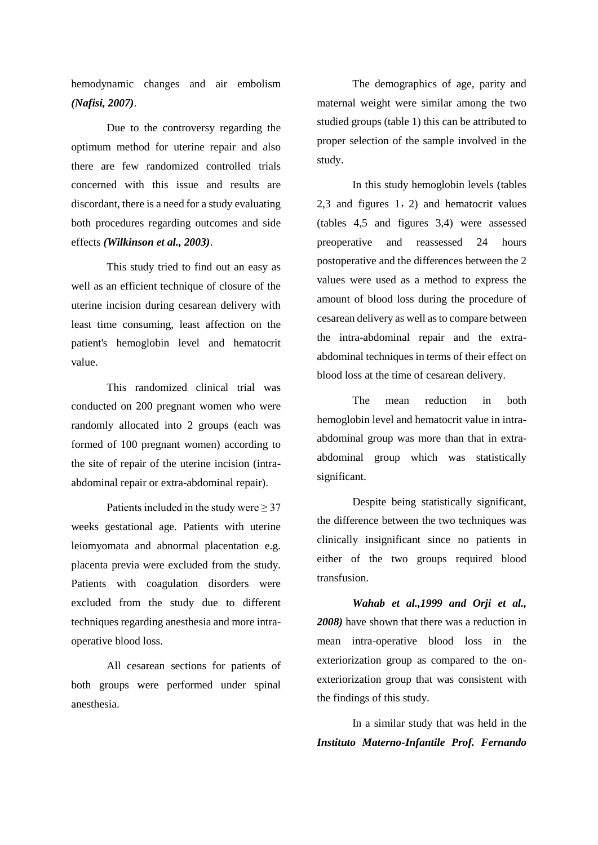hemodynamic changes and air embolism *(Nafisi, 2007)*.

Due to the controversy regarding the optimum method for uterine repair and also there are few randomized controlled trials concerned with this issue and results are discordant, there is a need for a study evaluating both procedures regarding outcomes and side effects *(Wilkinson et al., 2003)*.

This study tried to find out an easy as well as an efficient technique of closure of the uterine incision during cesarean delivery with least time consuming, least affection on the patient's hemoglobin level and hematocrit value.

This randomized clinical trial was conducted on 200 pregnant women who were randomly allocated into 2 groups (each was formed of 100 pregnant women) according to the site of repair of the uterine incision (intraabdominal repair or extra-abdominal repair).

Patients included in the study were  $\geq 37$ weeks gestational age. Patients with uterine leiomyomata and abnormal placentation e.g. placenta previa were excluded from the study. Patients with coagulation disorders were excluded from the study due to different techniques regarding anesthesia and more intraoperative blood loss.

All cesarean sections for patients of both groups were performed under spinal anesthesia.

The demographics of age, parity and maternal weight were similar among the two studied groups (table 1) this can be attributed to proper selection of the sample involved in the study.

In this study hemoglobin levels (tables 2,3 and figures 1,2) and hematocrit values (tables 4,5 and figures 3,4) were assessed preoperative and reassessed 24 hours postoperative and the differences between the 2 values were used as a method to express the amount of blood loss during the procedure of cesarean delivery as well as to compare between the intra-abdominal repair and the extraabdominal techniques in terms of their effect on blood loss at the time of cesarean delivery.

The mean reduction in both hemoglobin level and hematocrit value in intraabdominal group was more than that in extraabdominal group which was statistically significant.

Despite being statistically significant, the difference between the two techniques was clinically insignificant since no patients in either of the two groups required blood transfusion.

*Wahab et al.,1999 and Orji et al., 2008)* have shown that there was a reduction in mean intra-operative blood loss in the exteriorization group as compared to the onexteriorization group that was consistent with the findings of this study.

In a similar study that was held in the *Instituto Materno-Infantile Prof. Fernando*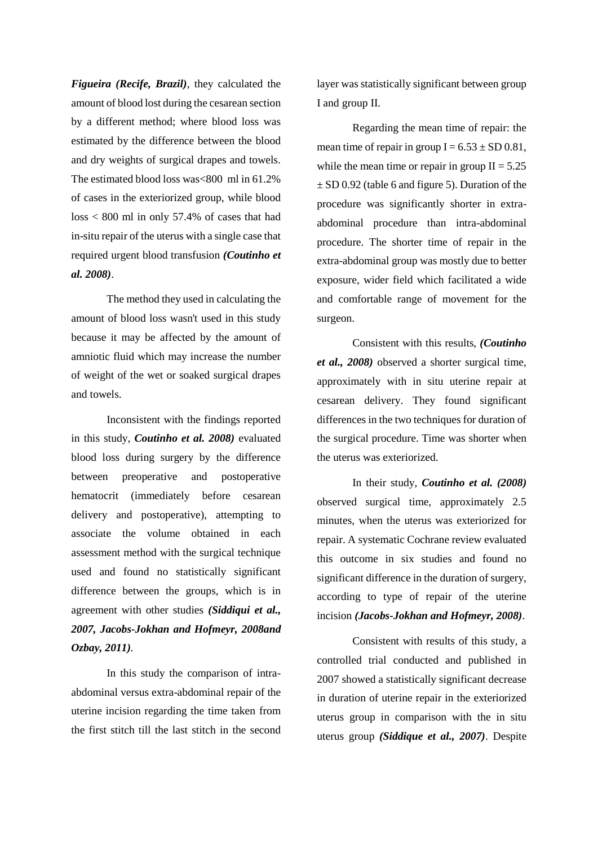*Figueira (Recife, Brazil)*, they calculated the amount of blood lost during the cesarean section by a different method; where blood loss was estimated by the difference between the blood and dry weights of surgical drapes and towels. The estimated blood loss was<800 ml in 61.2% of cases in the exteriorized group, while blood loss < 800 ml in only 57.4% of cases that had in-situ repair of the uterus with a single case that required urgent blood transfusion *(Coutinho et al. 2008)*.

The method they used in calculating the amount of blood loss wasn't used in this study because it may be affected by the amount of amniotic fluid which may increase the number of weight of the wet or soaked surgical drapes and towels.

Inconsistent with the findings reported in this study, *Coutinho et al. 2008)* evaluated blood loss during surgery by the difference between preoperative and postoperative hematocrit (immediately before cesarean delivery and postoperative), attempting to associate the volume obtained in each assessment method with the surgical technique used and found no statistically significant difference between the groups, which is in agreement with other studies *(Siddiqui et al., 2007, Jacobs-Jokhan and Hofmeyr, 2008and Ozbay, 2011).*

In this study the comparison of intraabdominal versus extra-abdominal repair of the uterine incision regarding the time taken from the first stitch till the last stitch in the second layer was statistically significant between group I and group II.

Regarding the mean time of repair: the mean time of repair in group  $I = 6.53 \pm SD\,0.81$ , while the mean time or repair in group  $II = 5.25$  $\pm$  SD 0.92 (table 6 and figure 5). Duration of the procedure was significantly shorter in extraabdominal procedure than intra-abdominal procedure. The shorter time of repair in the extra-abdominal group was mostly due to better exposure, wider field which facilitated a wide and comfortable range of movement for the surgeon.

Consistent with this results, *(Coutinho et al., 2008)* observed a shorter surgical time, approximately with in situ uterine repair at cesarean delivery. They found significant differences in the two techniques for duration of the surgical procedure. Time was shorter when the uterus was exteriorized.

In their study, *Coutinho et al. (2008)*  observed surgical time, approximately 2.5 minutes, when the uterus was exteriorized for repair. A systematic Cochrane review evaluated this outcome in six studies and found no significant difference in the duration of surgery, according to type of repair of the uterine incision *(Jacobs-Jokhan and Hofmeyr, 2008)*.

Consistent with results of this study, a controlled trial conducted and published in 2007 showed a statistically significant decrease in duration of uterine repair in the exteriorized uterus group in comparison with the in situ uterus group *(Siddique et al., 2007)*. Despite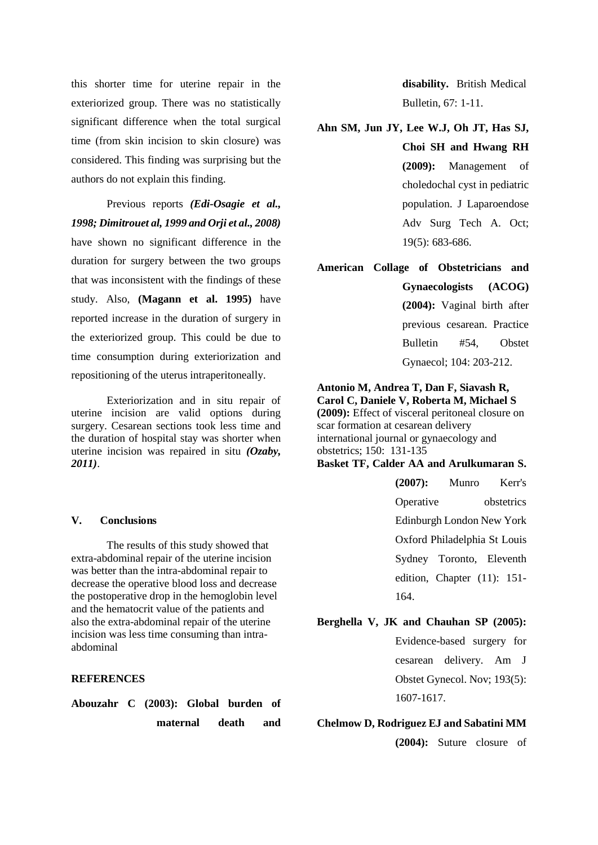this shorter time for uterine repair in the exteriorized group. There was no statistically significant difference when the total surgical time (from skin incision to skin closure) was considered. This finding was surprising but the authors do not explain this finding.

Previous reports *(Edi-Osagie et al., 1998; Dimitrouet al, 1999 and Orji et al., 2008)* have shown no significant difference in the duration for surgery between the two groups that was inconsistent with the findings of these study. Also, **(Magann et al. 1995)** have reported increase in the duration of surgery in the exteriorized group. This could be due to time consumption during exteriorization and repositioning of the uterus intraperitoneally.

Exteriorization and in situ repair of uterine incision are valid options during surgery. Cesarean sections took less time and the duration of hospital stay was shorter when uterine incision was repaired in situ *(Ozaby, 2011)*.

#### **V. Conclusions**

The results of this study showed that extra-abdominal repair of the uterine incision was better than the intra-abdominal repair to decrease the operative blood loss and decrease the postoperative drop in the hemoglobin level and the hematocrit value of the patients and also the extra-abdominal repair of the uterine incision was less time consuming than intraabdominal

#### **REFERENCES**

**Abouzahr C (2003): Global burden of maternal death and** 

**disability.** British Medical Bulletin, 67: 1-11.

#### **Ahn SM, Jun JY, Lee W.J, Oh JT, Has SJ,**

**Choi SH and Hwang RH (2009):** Management of choledochal cyst in pediatric population. J Laparoendose Adv Surg Tech A. Oct; 19(5): 683-686.

#### **American Collage of Obstetricians and**

**Gynaecologists (ACOG) (2004):** Vaginal birth after previous cesarean. Practice Bulletin #54, Obstet Gynaecol; 104: 203-212.

**Antonio M, Andrea T, Dan F, Siavash R, Carol C, Daniele V, Roberta M, Michael S (2009):** Effect of visceral peritoneal closure on scar formation at cesarean delivery international journal or gynaecology and obstetrics; 150: 131-135 **Basket TF, Calder AA and Arulkumaran S.**

> **(2007):** Munro Kerr's Operative obstetrics Edinburgh London New York Oxford Philadelphia St Louis Sydney Toronto, Eleventh edition, Chapter (11): 151- 164.

### **Berghella V, JK and Chauhan SP (2005):**

Evidence-based surgery for cesarean delivery. Am J Obstet Gynecol. Nov; 193(5): 1607-1617.

#### **Chelmow D, Rodriguez EJ and Sabatini MM**

**(2004):** Suture closure of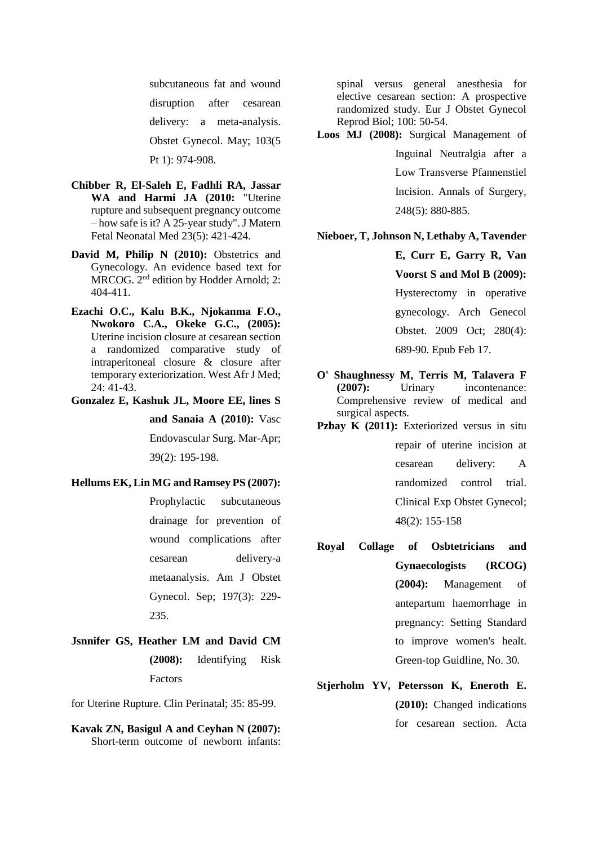subcutaneous fat and wound disruption after cesarean delivery: a meta-analysis. Obstet Gynecol. May; 103(5 Pt 1): 974-908.

- **Chibber R, El-Saleh E, Fadhli RA, Jassar WA and Harmi JA (2010:** "Uterine rupture and subsequent pregnancy outcome – how safe is it? A 25-year study". J Matern Fetal Neonatal Med 23(5): 421-424.
- **David M, Philip N (2010):** Obstetrics and Gynecology. An evidence based text for MRCOG. 2nd edition by Hodder Arnold; 2: 404-411.
- **Ezachi O.C., Kalu B.K., Njokanma F.O., Nwokoro C.A., Okeke G.C., (2005):**  Uterine incision closure at cesarean section a randomized comparative study of intraperitoneal closure & closure after temporary exteriorization. West Afr J Med; 24: 41-43.

**Gonzalez E, Kashuk JL, Moore EE, lines S** 

**and Sanaia A (2010):** Vasc Endovascular Surg. Mar-Apr;

39(2): 195-198.

#### **Hellums EK, Lin MG and Ramsey PS (2007):**

Prophylactic subcutaneous drainage for prevention of wound complications after cesarean delivery-a metaanalysis. Am J Obstet Gynecol. Sep; 197(3): 229- 235.

**Jsnnifer GS, Heather LM and David CM (2008):** Identifying Risk Factors

for Uterine Rupture. Clin Perinatal; 35: 85-99.

**Kavak ZN, Basigul A and Ceyhan N (2007):** Short-term outcome of newborn infants:

spinal versus general anesthesia for elective cesarean section: A prospective randomized study. Eur J Obstet Gynecol Reprod Biol; 100: 50-54.

**Loos MJ (2008):** Surgical Management of Inguinal Neutralgia after a Low Transverse Pfannenstiel Incision. Annals of Surgery, 248(5): 880-885.

#### **Nieboer, T, Johnson N, Lethaby A, Tavender**

**E, Curr E, Garry R, Van Voorst S and Mol B (2009):** Hysterectomy in operative gynecology. Arch Genecol Obstet. 2009 Oct; 280(4): 689-90. Epub Feb 17.

- **O' Shaughnessy M, Terris M, Talavera F (2007):** Urinary incontenance: Comprehensive review of medical and surgical aspects.
- Pzbay K (2011): Exteriorized versus in situ repair of uterine incision at cesarean delivery: A randomized control trial. Clinical Exp Obstet Gynecol; 48(2): 155-158
- **Royal Collage of Osbtetricians and Gynaecologists (RCOG) (2004):** Management of antepartum haemorrhage in pregnancy: Setting Standard to improve women's healt. Green-top Guidline, No. 30.
- **Stjerholm YV, Petersson K, Eneroth E. (2010):** Changed indications for cesarean section. Acta